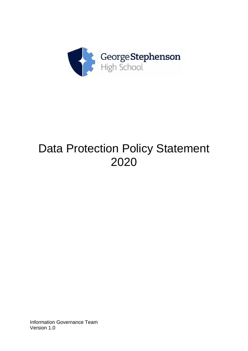

# Data Protection Policy Statement 2020

Information Governance Team Version 1.0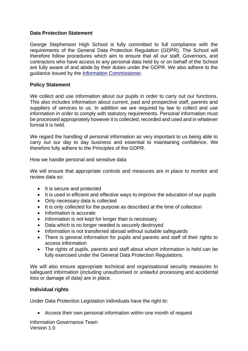### **Data Protection Statement**

George Stephenson High School is fully committed to full compliance with the requirements of the General Data Protection Regulation (GDPR). The School will therefore follow procedures which aim to ensure that all our staff, Governors, and contractors who have access to any personal data held by or on behalf of the School are fully aware of and abide by their duties under the GDPR. We also adhere to the guidance issued by the [Information Commissioner.](mailto:https://ico.org.uk/for-organisations/guide-to-data-protection/)

### **Policy Statement**

We collect and use information about our pupils in order to carry out our functions. This also includes information about current, past and prospective staff, parents and suppliers of services to us. In addition we are required by law to collect and use information in order to comply with statutory requirements. Personal information must be processed appropriately however it is collected, recorded and used and in whatever format it is held.

We regard the handling of personal information as very important to us being able to carry out our day to day business and essential to maintaining confidence. We therefore fully adhere to the Principles of the GDPR.

How we handle personal and sensitive data

We will ensure that appropriate controls and measures are in place to monitor and review data so:

- It is secure and protected
- It is used in efficient and effective ways to improve the education of our pupils
- Only necessary data is collected
- It is only collected for the purpose as described at the time of collection
- Information is accurate
- Information is not kept for longer than is necessary
- Data which is no longer needed is securely destroyed
- Information is not transferred abroad without suitable safeguards
- There is general information for pupils and parents and staff of their rights to access information
- The rights of pupils, parents and staff about whom information is held can be fully exercised under the General Data Protection Regulations.

We will also ensure appropriate technical and organisational security measures to safeguard information (including unauthorised or unlawful processing and accidental loss or damage of data) are in place.

#### **Individual rights**

Under Data Protection Legislation individuals have the right to:

• Access their own personal information within one month of request

Information Governance Team Version 1.0